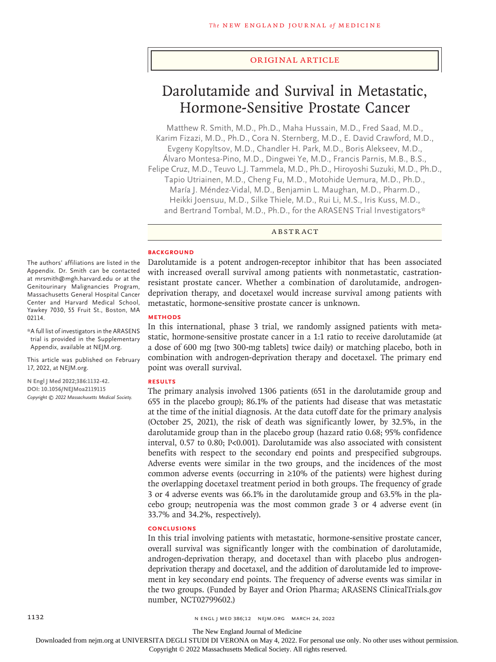#### Original Article

# Darolutamide and Survival in Metastatic, Hormone-Sensitive Prostate Cancer

Matthew R. Smith, M.D., Ph.D., Maha Hussain, M.D., Fred Saad, M.D., Karim Fizazi, M.D., Ph.D., Cora N. Sternberg, M.D., E. David Crawford, M.D., Evgeny Kopyltsov, M.D., Chandler H. Park, M.D., Boris Alekseev, M.D., Álvaro Montesa‑Pino, M.D., Dingwei Ye, M.D., Francis Parnis, M.B., B.S., Felipe Cruz, M.D., Teuvo L.J. Tammela, M.D., Ph.D., Hiroyoshi Suzuki, M.D., Ph.D., Tapio Utriainen, M.D., Cheng Fu, M.D., Motohide Uemura, M.D., Ph.D., María J. Méndez‑Vidal, M.D., Benjamin L. Maughan, M.D., Pharm.D., Heikki Joensuu, M.D., Silke Thiele, M.D., Rui Li, M.S., Iris Kuss, M.D., and Bertrand Tombal, M.D., Ph.D., for the ARASENS Trial Investigators\*

ABSTRACT

#### **BACKGROUND**

Darolutamide is a potent androgen-receptor inhibitor that has been associated with increased overall survival among patients with nonmetastatic, castrationresistant prostate cancer. Whether a combination of darolutamide, androgendeprivation therapy, and docetaxel would increase survival among patients with metastatic, hormone-sensitive prostate cancer is unknown.

# **METHODS**

In this international, phase 3 trial, we randomly assigned patients with metastatic, hormone-sensitive prostate cancer in a 1:1 ratio to receive darolutamide (at a dose of 600 mg [two 300-mg tablets] twice daily) or matching placebo, both in combination with androgen-deprivation therapy and docetaxel. The primary end point was overall survival.

#### **RESULTS**

The primary analysis involved 1306 patients (651 in the darolutamide group and 655 in the placebo group); 86.1% of the patients had disease that was metastatic at the time of the initial diagnosis. At the data cutoff date for the primary analysis (October 25, 2021), the risk of death was significantly lower, by 32.5%, in the darolutamide group than in the placebo group (hazard ratio 0.68; 95% confidence interval, 0.57 to 0.80; P<0.001). Darolutamide was also associated with consistent benefits with respect to the secondary end points and prespecified subgroups. Adverse events were similar in the two groups, and the incidences of the most common adverse events (occurring in ≥10% of the patients) were highest during the overlapping docetaxel treatment period in both groups. The frequency of grade 3 or 4 adverse events was 66.1% in the darolutamide group and 63.5% in the placebo group; neutropenia was the most common grade 3 or 4 adverse event (in 33.7% and 34.2%, respectively).

#### **CONCLUSIONS**

In this trial involving patients with metastatic, hormone-sensitive prostate cancer, overall survival was significantly longer with the combination of darolutamide, androgen-deprivation therapy, and docetaxel than with placebo plus androgendeprivation therapy and docetaxel, and the addition of darolutamide led to improvement in key secondary end points. The frequency of adverse events was similar in the two groups. (Funded by Bayer and Orion Pharma; ARASENS ClinicalTrials.gov number, NCT02799602.)

The authors' affiliations are listed in the Appendix. Dr. Smith can be contacted at mrsmith@mgh.harvard.edu or at the Genitourinary Malignancies Program, Massachusetts General Hospital Cancer Center and Harvard Medical School, Yawkey 7030, 55 Fruit St., Boston, MA 02114.

\*A full list of investigators in the ARASENS trial is provided in the Supplementary Appendix, available at NEJM.org.

This article was published on February 17, 2022, at NEJM.org.

**N Engl J Med 2022;386:1132-42. DOI: 10.1056/NEJMoa2119115** *Copyright © 2022 Massachusetts Medical Society.*

The New England Journal of Medicine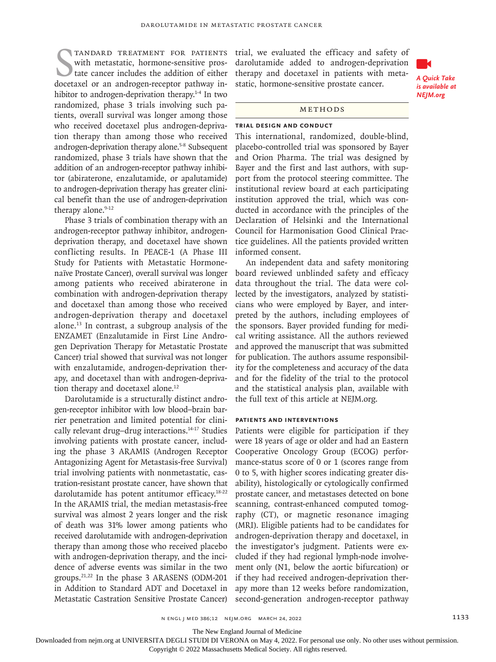TANDARD TREATMENT FOR PATIENTS<br>with metastatic, hormone-sensitive pros-<br>tate cancer includes the addition of either<br>docetaxel or an androgen-receptor pathway intandard treatment for patients with metastatic, hormone-sensitive prostate cancer includes the addition of either hibitor to androgen-deprivation therapy.<sup>1-4</sup> In two randomized, phase 3 trials involving such patients, overall survival was longer among those who received docetaxel plus androgen-deprivation therapy than among those who received androgen-deprivation therapy alone.<sup>5-8</sup> Subsequent randomized, phase 3 trials have shown that the addition of an androgen-receptor pathway inhibitor (abiraterone, enzalutamide, or apalutamide) to androgen-deprivation therapy has greater clinical benefit than the use of androgen-deprivation therapy alone.<sup>9-12</sup>

Phase 3 trials of combination therapy with an androgen-receptor pathway inhibitor, androgendeprivation therapy, and docetaxel have shown conflicting results. In PEACE-1 (A Phase III Study for Patients with Metastatic Hormonenaïve Prostate Cancer), overall survival was longer among patients who received abiraterone in combination with androgen-deprivation therapy and docetaxel than among those who received androgen-deprivation therapy and docetaxel alone.13 In contrast, a subgroup analysis of the ENZAMET (Enzalutamide in First Line Androgen Deprivation Therapy for Metastatic Prostate Cancer) trial showed that survival was not longer with enzalutamide, androgen-deprivation therapy, and docetaxel than with androgen-deprivation therapy and docetaxel alone.<sup>12</sup>

Darolutamide is a structurally distinct androgen-receptor inhibitor with low blood–brain barrier penetration and limited potential for clinically relevant drug–drug interactions.14-17 Studies involving patients with prostate cancer, including the phase 3 ARAMIS (Androgen Receptor Antagonizing Agent for Metastasis-free Survival) trial involving patients with nonmetastatic, castration-resistant prostate cancer, have shown that darolutamide has potent antitumor efficacy.<sup>18-22</sup> In the ARAMIS trial, the median metastasis-free survival was almost 2 years longer and the risk of death was 31% lower among patients who received darolutamide with androgen-deprivation therapy than among those who received placebo with androgen-deprivation therapy, and the incidence of adverse events was similar in the two groups.21,22 In the phase 3 ARASENS (ODM-201 in Addition to Standard ADT and Docetaxel in Metastatic Castration Sensitive Prostate Cancer)

trial, we evaluated the efficacy and safety of darolutamide added to androgen-deprivation therapy and docetaxel in patients with metastatic, hormone-sensitive prostate cancer.



*A Quick Take is available at NEJM.org*

# Methods

# **Trial Design and Conduct**

This international, randomized, double-blind, placebo-controlled trial was sponsored by Bayer and Orion Pharma. The trial was designed by Bayer and the first and last authors, with support from the protocol steering committee. The institutional review board at each participating institution approved the trial, which was conducted in accordance with the principles of the Declaration of Helsinki and the International Council for Harmonisation Good Clinical Practice guidelines. All the patients provided written informed consent.

An independent data and safety monitoring board reviewed unblinded safety and efficacy data throughout the trial. The data were collected by the investigators, analyzed by statisticians who were employed by Bayer, and interpreted by the authors, including employees of the sponsors. Bayer provided funding for medical writing assistance. All the authors reviewed and approved the manuscript that was submitted for publication. The authors assume responsibility for the completeness and accuracy of the data and for the fidelity of the trial to the protocol and the statistical analysis plan, available with the full text of this article at NEJM.org.

#### **Patients and Interventions**

Patients were eligible for participation if they were 18 years of age or older and had an Eastern Cooperative Oncology Group (ECOG) performance-status score of 0 or 1 (scores range from 0 to 5, with higher scores indicating greater disability), histologically or cytologically confirmed prostate cancer, and metastases detected on bone scanning, contrast-enhanced computed tomography (CT), or magnetic resonance imaging (MRI). Eligible patients had to be candidates for androgen-deprivation therapy and docetaxel, in the investigator's judgment. Patients were excluded if they had regional lymph-node involvement only (N1, below the aortic bifurcation) or if they had received androgen-deprivation therapy more than 12 weeks before randomization, second-generation androgen-receptor pathway

The New England Journal of Medicine

Downloaded from nejm.org at UNIVERSITA DEGLI STUDI DI VERONA on May 4, 2022. For personal use only. No other uses without permission.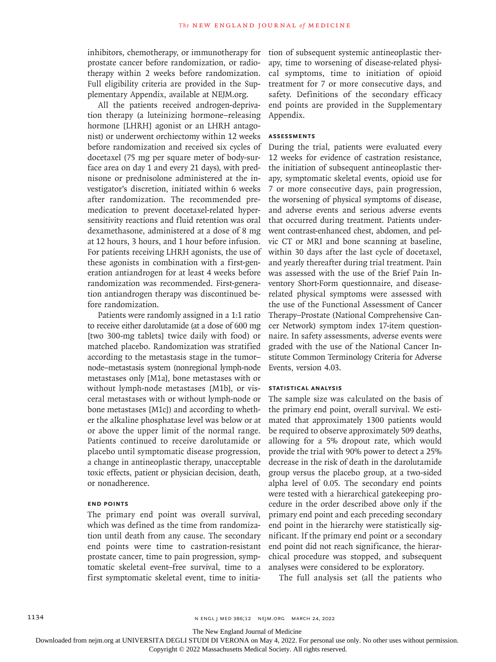inhibitors, chemotherapy, or immunotherapy for prostate cancer before randomization, or radiotherapy within 2 weeks before randomization. Full eligibility criteria are provided in the Supplementary Appendix, available at NEJM.org.

All the patients received androgen-deprivation therapy (a luteinizing hormone–releasing hormone [LHRH] agonist or an LHRH antagonist) or underwent orchiectomy within 12 weeks before randomization and received six cycles of docetaxel (75 mg per square meter of body-surface area on day 1 and every 21 days), with prednisone or prednisolone administered at the investigator's discretion, initiated within 6 weeks after randomization. The recommended premedication to prevent docetaxel-related hypersensitivity reactions and fluid retention was oral dexamethasone, administered at a dose of 8 mg at 12 hours, 3 hours, and 1 hour before infusion. For patients receiving LHRH agonists, the use of these agonists in combination with a first-generation antiandrogen for at least 4 weeks before randomization was recommended. First-generation antiandrogen therapy was discontinued before randomization.

Patients were randomly assigned in a 1:1 ratio to receive either darolutamide (at a dose of 600 mg [two 300-mg tablets] twice daily with food) or matched placebo. Randomization was stratified according to the metastasis stage in the tumor– node–metastasis system (nonregional lymph-node metastases only [M1a], bone metastases with or without lymph-node metastases [M1b], or visceral metastases with or without lymph-node or bone metastases [M1c]) and according to whether the alkaline phosphatase level was below or at or above the upper limit of the normal range. Patients continued to receive darolutamide or placebo until symptomatic disease progression, a change in antineoplastic therapy, unacceptable toxic effects, patient or physician decision, death, or nonadherence.

# **End Points**

The primary end point was overall survival, which was defined as the time from randomization until death from any cause. The secondary end points were time to castration-resistant prostate cancer, time to pain progression, symptomatic skeletal event–free survival, time to a first symptomatic skeletal event, time to initiation of subsequent systemic antineoplastic therapy, time to worsening of disease-related physical symptoms, time to initiation of opioid treatment for 7 or more consecutive days, and safety. Definitions of the secondary efficacy end points are provided in the Supplementary Appendix.

#### **Assessments**

During the trial, patients were evaluated every 12 weeks for evidence of castration resistance, the initiation of subsequent antineoplastic therapy, symptomatic skeletal events, opioid use for 7 or more consecutive days, pain progression, the worsening of physical symptoms of disease, and adverse events and serious adverse events that occurred during treatment. Patients underwent contrast-enhanced chest, abdomen, and pelvic CT or MRI and bone scanning at baseline, within 30 days after the last cycle of docetaxel, and yearly thereafter during trial treatment. Pain was assessed with the use of the Brief Pain Inventory Short-Form questionnaire, and diseaserelated physical symptoms were assessed with the use of the Functional Assessment of Cancer Therapy–Prostate (National Comprehensive Cancer Network) symptom index 17-item questionnaire. In safety assessments, adverse events were graded with the use of the National Cancer Institute Common Terminology Criteria for Adverse Events, version 4.03.

### **Statistical Analysis**

The sample size was calculated on the basis of the primary end point, overall survival. We estimated that approximately 1300 patients would be required to observe approximately 509 deaths, allowing for a 5% dropout rate, which would provide the trial with 90% power to detect a 25% decrease in the risk of death in the darolutamide group versus the placebo group, at a two-sided alpha level of 0.05. The secondary end points were tested with a hierarchical gatekeeping procedure in the order described above only if the primary end point and each preceding secondary end point in the hierarchy were statistically significant. If the primary end point or a secondary end point did not reach significance, the hierarchical procedure was stopped, and subsequent analyses were considered to be exploratory.

The full analysis set (all the patients who

The New England Journal of Medicine

Downloaded from nejm.org at UNIVERSITA DEGLI STUDI DI VERONA on May 4, 2022. For personal use only. No other uses without permission.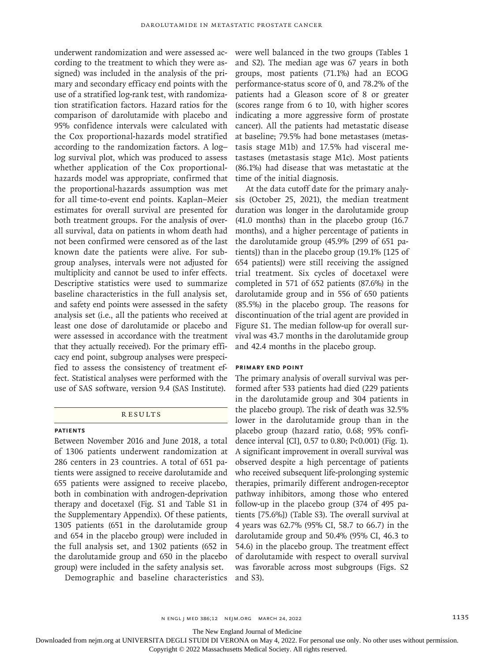underwent randomization and were assessed according to the treatment to which they were assigned) was included in the analysis of the primary and secondary efficacy end points with the use of a stratified log-rank test, with randomization stratification factors. Hazard ratios for the comparison of darolutamide with placebo and 95% confidence intervals were calculated with the Cox proportional-hazards model stratified according to the randomization factors. A log– log survival plot, which was produced to assess whether application of the Cox proportionalhazards model was appropriate, confirmed that the proportional-hazards assumption was met for all time-to-event end points. Kaplan–Meier estimates for overall survival are presented for both treatment groups. For the analysis of overall survival, data on patients in whom death had not been confirmed were censored as of the last known date the patients were alive. For subgroup analyses, intervals were not adjusted for multiplicity and cannot be used to infer effects. Descriptive statistics were used to summarize baseline characteristics in the full analysis set, and safety end points were assessed in the safety analysis set (i.e., all the patients who received at least one dose of darolutamide or placebo and were assessed in accordance with the treatment that they actually received). For the primary efficacy end point, subgroup analyses were prespecified to assess the consistency of treatment effect. Statistical analyses were performed with the use of SAS software, version 9.4 (SAS Institute).

# **RESULTS**

#### **Patients**

Between November 2016 and June 2018, a total of 1306 patients underwent randomization at 286 centers in 23 countries. A total of 651 patients were assigned to receive darolutamide and 655 patients were assigned to receive placebo, both in combination with androgen-deprivation therapy and docetaxel (Fig. S1 and Table S1 in the Supplementary Appendix). Of these patients, 1305 patients (651 in the darolutamide group and 654 in the placebo group) were included in the full analysis set, and 1302 patients (652 in the darolutamide group and 650 in the placebo group) were included in the safety analysis set.

Demographic and baseline characteristics

were well balanced in the two groups (Tables 1 and S2). The median age was 67 years in both groups, most patients (71.1%) had an ECOG performance-status score of 0, and 78.2% of the patients had a Gleason score of 8 or greater (scores range from 6 to 10, with higher scores indicating a more aggressive form of prostate cancer). All the patients had metastatic disease at baseline; 79.5% had bone metastases (metastasis stage M1b) and 17.5% had visceral metastases (metastasis stage M1c). Most patients (86.1%) had disease that was metastatic at the time of the initial diagnosis.

At the data cutoff date for the primary analysis (October 25, 2021), the median treatment duration was longer in the darolutamide group (41.0 months) than in the placebo group (16.7 months), and a higher percentage of patients in the darolutamide group (45.9% [299 of 651 patients]) than in the placebo group (19.1% [125 of 654 patients]) were still receiving the assigned trial treatment. Six cycles of docetaxel were completed in 571 of 652 patients (87.6%) in the darolutamide group and in 556 of 650 patients (85.5%) in the placebo group. The reasons for discontinuation of the trial agent are provided in Figure S1. The median follow-up for overall survival was 43.7 months in the darolutamide group and 42.4 months in the placebo group.

#### **Primary End Point**

The primary analysis of overall survival was performed after 533 patients had died (229 patients in the darolutamide group and 304 patients in the placebo group). The risk of death was 32.5% lower in the darolutamide group than in the placebo group (hazard ratio, 0.68; 95% confidence interval [CI], 0.57 to 0.80; P<0.001) (Fig. 1). A significant improvement in overall survival was observed despite a high percentage of patients who received subsequent life-prolonging systemic therapies, primarily different androgen-receptor pathway inhibitors, among those who entered follow-up in the placebo group (374 of 495 patients [75.6%]) (Table S3). The overall survival at 4 years was 62.7% (95% CI, 58.7 to 66.7) in the darolutamide group and 50.4% (95% CI, 46.3 to 54.6) in the placebo group. The treatment effect of darolutamide with respect to overall survival was favorable across most subgroups (Figs. S2 and S3).

The New England Journal of Medicine

Downloaded from nejm.org at UNIVERSITA DEGLI STUDI DI VERONA on May 4, 2022. For personal use only. No other uses without permission.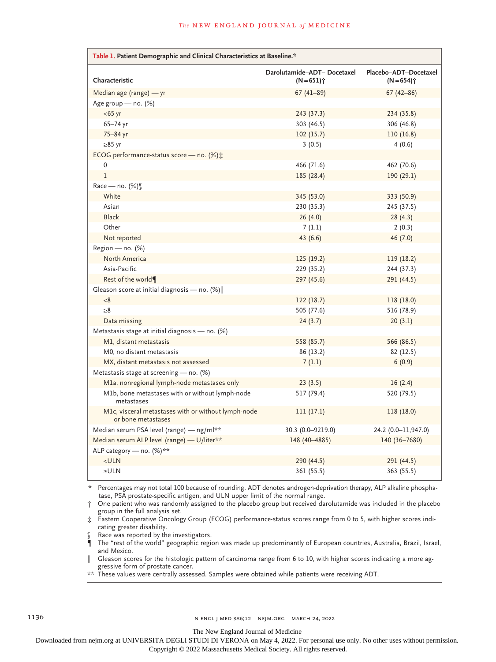| Table 1. Patient Demographic and Clinical Characteristics at Baseline.*   |                                                         |                                                   |  |  |  |  |
|---------------------------------------------------------------------------|---------------------------------------------------------|---------------------------------------------------|--|--|--|--|
| Characteristic                                                            | Darolutamide-ADT- Docetaxel<br>$(N = 651)$ <sup>*</sup> | Placebo-ADT-Docetaxel<br>$(N = 654)$ <sup>*</sup> |  |  |  |  |
| Median age (range) — yr                                                   | $67(41-89)$                                             | $67(42 - 86)$                                     |  |  |  |  |
| Age group $-$ no. $(\%)$                                                  |                                                         |                                                   |  |  |  |  |
| $<$ 65 yr                                                                 | 243 (37.3)                                              | 234 (35.8)                                        |  |  |  |  |
| $65 - 74$ yr                                                              | 303 (46.5)                                              | 306 (46.8)                                        |  |  |  |  |
| 75-84 yr                                                                  | 102(15.7)                                               | 110(16.8)                                         |  |  |  |  |
| $\geq 85$ yr                                                              | 3(0.5)                                                  | 4(0.6)                                            |  |  |  |  |
| ECOG performance-status score - no. (%) :                                 |                                                         |                                                   |  |  |  |  |
| $\mathbf 0$                                                               | 466 (71.6)                                              | 462 (70.6)                                        |  |  |  |  |
| $\mathbf{1}$                                                              | 185 (28.4)                                              | 190(29.1)                                         |  |  |  |  |
| Race — no. $(\%)$                                                         |                                                         |                                                   |  |  |  |  |
| White                                                                     | 345 (53.0)                                              | 333 (50.9)                                        |  |  |  |  |
| Asian                                                                     | 230 (35.3)                                              | 245 (37.5)                                        |  |  |  |  |
| <b>Black</b>                                                              | 26(4.0)                                                 | 28(4.3)                                           |  |  |  |  |
| Other                                                                     | 7(1.1)                                                  | 2(0.3)                                            |  |  |  |  |
| Not reported                                                              | 43 (6.6)                                                | 46 (7.0)                                          |  |  |  |  |
| Region - no. (%)                                                          |                                                         |                                                   |  |  |  |  |
| North America                                                             | 125(19.2)                                               | 119(18.2)                                         |  |  |  |  |
| Asia-Pacific                                                              | 229 (35.2)                                              | 244 (37.3)                                        |  |  |  |  |
| Rest of the world¶                                                        | 297 (45.6)                                              | 291 (44.5)                                        |  |  |  |  |
| Gleason score at initial diagnosis — no. $(\%)$                           |                                                         |                                                   |  |  |  |  |
| $<$ 8                                                                     | 122(18.7)                                               | 118 (18.0)                                        |  |  |  |  |
| $\geq 8$                                                                  | 505 (77.6)                                              | 516 (78.9)                                        |  |  |  |  |
| Data missing                                                              | 24 (3.7)                                                | 20(3.1)                                           |  |  |  |  |
| Metastasis stage at initial diagnosis - no. (%)                           |                                                         |                                                   |  |  |  |  |
| M1, distant metastasis                                                    | 558 (85.7)                                              | 566 (86.5)                                        |  |  |  |  |
| M0, no distant metastasis                                                 | 86 (13.2)                                               | 82 (12.5)                                         |  |  |  |  |
| MX, distant metastasis not assessed                                       | 7(1.1)                                                  | 6(0.9)                                            |  |  |  |  |
| Metastasis stage at screening $-$ no. (%)                                 |                                                         |                                                   |  |  |  |  |
| M1a, nonregional lymph-node metastases only                               | 23(3.5)                                                 | 16(2.4)                                           |  |  |  |  |
| M1b, bone metastases with or without lymph-node<br>metastases             | 517 (79.4)                                              | 520 (79.5)                                        |  |  |  |  |
| M1c, visceral metastases with or without lymph-node<br>or bone metastases | 111(17.1)                                               | 118 (18.0)                                        |  |  |  |  |
| Median serum PSA level (range) — ng/ml**                                  | 30.3 (0.0-9219.0)                                       | 24.2 (0.0-11,947.0)                               |  |  |  |  |
| Median serum ALP level (range) - U/liter**                                | 148 (40-4885)                                           | 140 (36-7680)                                     |  |  |  |  |
| ALP category - no. (%)**                                                  |                                                         |                                                   |  |  |  |  |
| $<$ ULN                                                                   | 290 (44.5)                                              | 291 (44.5)                                        |  |  |  |  |
| $\geq$ ULN                                                                | 361 (55.5)                                              | 363 (55.5)                                        |  |  |  |  |

\* Percentages may not total 100 because of rounding. ADT denotes androgen-deprivation therapy, ALP alkaline phospha‑ tase, PSA prostate-specific antigen, and ULN upper limit of the normal range.

† One patient who was randomly assigned to the placebo group but received darolutamide was included in the placebo group in the full analysis set.

‡ Eastern Cooperative Oncology Group (ECOG) performance-status scores range from 0 to 5, with higher scores indi‑ cating greater disability.

Race was reported by the investigators.

The "rest of the world" geographic region was made up predominantly of European countries, Australia, Brazil, Israel, and Mexico.

Gleason scores for the histologic pattern of carcinoma range from 6 to 10, with higher scores indicating a more aggressive form of prostate cancer.

\*\* These values were centrally assessed. Samples were obtained while patients were receiving ADT.

The New England Journal of Medicine

Downloaded from nejm.org at UNIVERSITA DEGLI STUDI DI VERONA on May 4, 2022. For personal use only. No other uses without permission.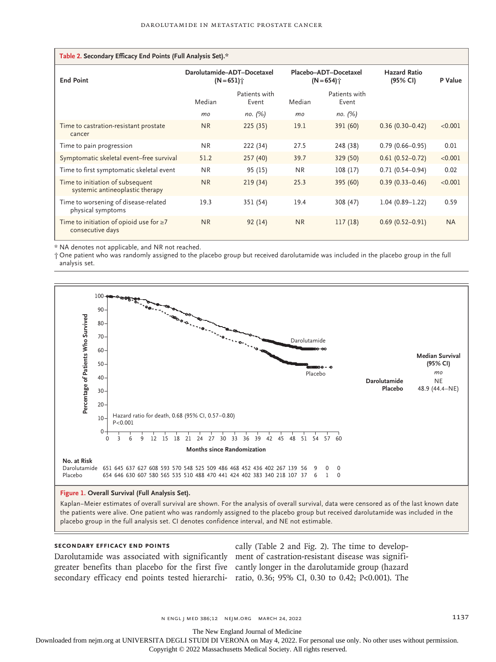| Table 2. Secondary Efficacy End Points (Full Analysis Set).*        |                                                        |                        |                                                   |                        |                                 |           |  |
|---------------------------------------------------------------------|--------------------------------------------------------|------------------------|---------------------------------------------------|------------------------|---------------------------------|-----------|--|
| <b>End Point</b>                                                    | Darolutamide-ADT-Docetaxel<br>$(N = 651)$ <sup>*</sup> |                        | Placebo-ADT-Docetaxel<br>$(N = 654)$ <sup>*</sup> |                        | <b>Hazard Ratio</b><br>(95% CI) | P Value   |  |
|                                                                     | Median                                                 | Patients with<br>Event | Median                                            | Patients with<br>Event |                                 |           |  |
|                                                                     | mo                                                     | по. (%)                | mo                                                | по. (%)                |                                 |           |  |
| Time to castration-resistant prostate<br>cancer                     | <b>NR</b>                                              | 225(35)                | 19.1                                              | 391 (60)               | $0.36(0.30 - 0.42)$             | < 0.001   |  |
| Time to pain progression                                            | <b>NR</b>                                              | 222 (34)               | 27.5                                              | 248 (38)               | $0.79(0.66 - 0.95)$             | 0.01      |  |
| Symptomatic skeletal event-free survival                            | 51.2                                                   | 257(40)                | 39.7                                              | 329 (50)               | $0.61(0.52 - 0.72)$             | < 0.001   |  |
| Time to first symptomatic skeletal event                            | <b>NR</b>                                              | 95 (15)                | <b>NR</b>                                         | 108(17)                | $0.71(0.54 - 0.94)$             | 0.02      |  |
| Time to initiation of subsequent<br>systemic antineoplastic therapy | <b>NR</b>                                              | 219(34)                | 25.3                                              | 395 (60)               | $0.39(0.33 - 0.46)$             | < 0.001   |  |
| Time to worsening of disease-related<br>physical symptoms           | 19.3                                                   | 351 (54)               | 19.4                                              | 308 (47)               | $1.04(0.89 - 1.22)$             | 0.59      |  |
| Time to initiation of opioid use for $\geq 7$<br>consecutive days   | <b>NR</b>                                              | 92(14)                 | <b>NR</b>                                         | 117(18)                | $0.69(0.52 - 0.91)$             | <b>NA</b> |  |

\* NA denotes not applicable, and NR not reached.

† One patient who was randomly assigned to the placebo group but received darolutamide was included in the placebo group in the full analysis set.



Kaplan−Meier estimates of overall survival are shown. For the analysis of overall survival, data were censored as of the last known date the patients were alive. One patient who was randomly assigned to the placebo group but received darolutamide was included in the

## **Secondary Efficacy End Points**

Darolutamide was associated with significantly ment of castration-resistant disease was signifigreater benefits than placebo for the first five cantly longer in the darolutamide group (hazard

secondary efficacy end points tested hierarchi- ratio, 0.36; 95% CI, 0.30 to 0.42; P<0.001). The cally (Table 2 and Fig. 2). The time to develop-

n engl j med 386;12 nejm.org March 24, 2022 1137

The New England Journal of Medicine

Downloaded from nejm.org at UNIVERSITA DEGLI STUDI DI VERONA on May 4, 2022. For personal use only. No other uses without permission.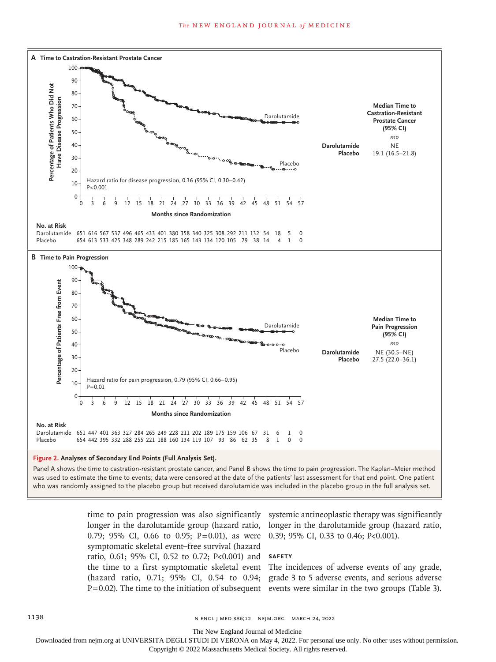

Panel A shows the time to castration-resistant prostate cancer, and Panel B shows the time to pain progression. The Kaplan−Meier method was used to estimate the time to events; data were censored at the date of the patients' last assessment for that end point. One patient

> time to pain progression was also significantly systemic antineoplastic therapy was significantly longer in the darolutamide group (hazard ratio, longer in the darolutamide group (hazard ratio, 0.79; 95% CI, 0.66 to 0.95; P=0.01), as were 0.39; 95% CI, 0.33 to 0.46; P<0.001). symptomatic skeletal event–free survival (hazard ratio, 0.61; 95% CI, 0.52 to 0.72; P<0.001) and **Safety** the time to a first symptomatic skeletal event The incidences of adverse events of any grade,

(hazard ratio, 0.71; 95% CI, 0.54 to 0.94; grade 3 to 5 adverse events, and serious adverse P=0.02). The time to the initiation of subsequent events were similar in the two groups (Table 3).

1138 **n engl j med 386;12** N ENGL J MED 386;12 NEJM.ORG MARCH 24, 2022

The New England Journal of Medicine

Downloaded from nejm.org at UNIVERSITA DEGLI STUDI DI VERONA on May 4, 2022. For personal use only. No other uses without permission.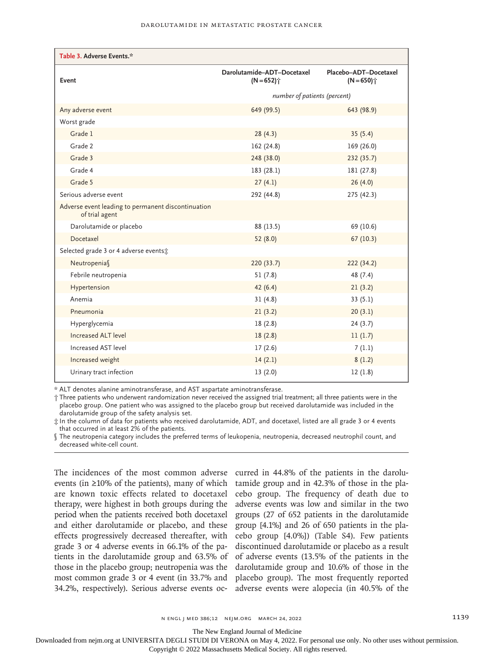| Table 3. Adverse Events.*                                            |                                                        |                                                   |  |  |  |  |
|----------------------------------------------------------------------|--------------------------------------------------------|---------------------------------------------------|--|--|--|--|
| Event                                                                | Darolutamide-ADT-Docetaxel<br>$(N = 652)$ <sup>*</sup> | Placebo-ADT-Docetaxel<br>$(N = 650)$ <sup>*</sup> |  |  |  |  |
|                                                                      | number of patients (percent)                           |                                                   |  |  |  |  |
| Any adverse event                                                    | 649 (99.5)                                             | 643 (98.9)                                        |  |  |  |  |
| Worst grade                                                          |                                                        |                                                   |  |  |  |  |
| Grade 1                                                              | 28(4.3)                                                | 35(5.4)                                           |  |  |  |  |
| Grade 2                                                              | 162 (24.8)                                             | 169 (26.0)                                        |  |  |  |  |
| Grade 3                                                              | 248 (38.0)                                             | 232 (35.7)                                        |  |  |  |  |
| Grade 4                                                              | 183 (28.1)                                             | 181 (27.8)                                        |  |  |  |  |
| Grade 5                                                              | 27(4.1)                                                | 26(4.0)                                           |  |  |  |  |
| Serious adverse event                                                | 292 (44.8)                                             | 275 (42.3)                                        |  |  |  |  |
| Adverse event leading to permanent discontinuation<br>of trial agent |                                                        |                                                   |  |  |  |  |
| Darolutamide or placebo                                              | 88 (13.5)                                              | 69 (10.6)                                         |  |  |  |  |
| Docetaxel                                                            | 52(8.0)                                                | 67(10.3)                                          |  |  |  |  |
| Selected grade 3 or 4 adverse events;                                |                                                        |                                                   |  |  |  |  |
| Neutropenias                                                         | 220 (33.7)                                             | 222 (34.2)                                        |  |  |  |  |
| Febrile neutropenia                                                  | 51(7.8)                                                | 48 (7.4)                                          |  |  |  |  |
| Hypertension                                                         | 42(6.4)                                                | 21(3.2)                                           |  |  |  |  |
| Anemia                                                               | 31(4.8)                                                | 33(5.1)                                           |  |  |  |  |
| Pneumonia                                                            | 21(3.2)                                                | 20(3.1)                                           |  |  |  |  |
| Hyperglycemia                                                        | 18(2.8)                                                | 24(3.7)                                           |  |  |  |  |
| <b>Increased ALT level</b>                                           | 18(2.8)                                                | 11(1.7)                                           |  |  |  |  |
| Increased AST level                                                  | 17(2.6)                                                | 7(1.1)                                            |  |  |  |  |
| Increased weight                                                     | 14(2.1)                                                | 8(1.2)                                            |  |  |  |  |
| Urinary tract infection                                              | 13(2.0)                                                | 12(1.8)                                           |  |  |  |  |

\* ALT denotes alanine aminotransferase, and AST aspartate aminotransferase.

† Three patients who underwent randomization never received the assigned trial treatment; all three patients were in the placebo group. One patient who was assigned to the placebo group but received darolutamide was included in the darolutamide group of the safety analysis set.

‡ In the column of data for patients who received darolutamide, ADT, and docetaxel, listed are all grade 3 or 4 events that occurred in at least 2% of the patients.

§ The neutropenia category includes the preferred terms of leukopenia, neutropenia, decreased neutrophil count, and decreased white-cell count.

events (in ≥10% of the patients), many of which tamide group and in 42.3% of those in the plaare known toxic effects related to docetaxel therapy, were highest in both groups during the period when the patients received both docetaxel and either darolutamide or placebo, and these effects progressively decreased thereafter, with grade 3 or 4 adverse events in 66.1% of the patients in the darolutamide group and 63.5% of of adverse events (13.5% of the patients in the those in the placebo group; neutropenia was the darolutamide group and 10.6% of those in the most common grade 3 or 4 event (in 33.7% and placebo group). The most frequently reported 34.2%, respectively). Serious adverse events oc-adverse events were alopecia (in 40.5% of the

The incidences of the most common adverse curred in 44.8% of the patients in the darolucebo group. The frequency of death due to adverse events was low and similar in the two groups (27 of 652 patients in the darolutamide group [4.1%] and 26 of 650 patients in the placebo group [4.0%]) (Table S4). Few patients discontinued darolutamide or placebo as a result

The New England Journal of Medicine

Downloaded from nejm.org at UNIVERSITA DEGLI STUDI DI VERONA on May 4, 2022. For personal use only. No other uses without permission.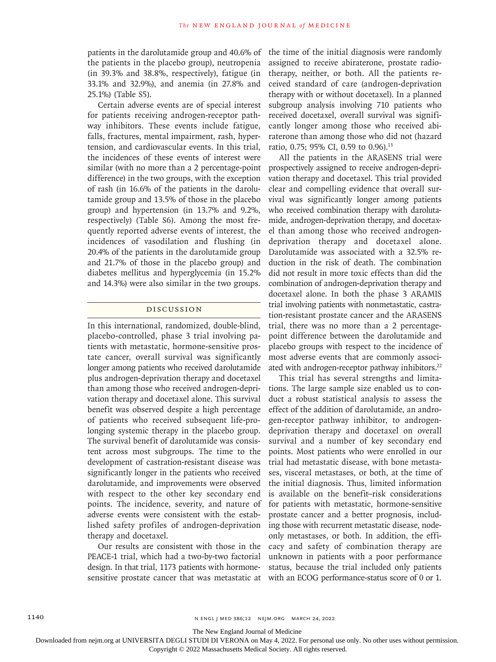patients in the darolutamide group and 40.6% of the patients in the placebo group), neutropenia (in 39.3% and 38.8%, respectively), fatigue (in 33.1% and 32.9%), and anemia (in 27.8% and 25.1%) (Table S5).

Certain adverse events are of special interest for patients receiving androgen-receptor pathway inhibitors. These events include fatigue, falls, fractures, mental impairment, rash, hypertension, and cardiovascular events. In this trial, the incidences of these events of interest were similar (with no more than a 2 percentage-point difference) in the two groups, with the exception of rash (in 16.6% of the patients in the darolutamide group and 13.5% of those in the placebo group) and hypertension (in 13.7% and 9.2%, respectively) (Table S6). Among the most frequently reported adverse events of interest, the incidences of vasodilation and flushing (in 20.4% of the patients in the darolutamide group and 21.7% of those in the placebo group) and diabetes mellitus and hyperglycemia (in 15.2% and 14.3%) were also similar in the two groups.

### Discussion

In this international, randomized, double-blind, placebo-controlled, phase 3 trial involving patients with metastatic, hormone-sensitive prostate cancer, overall survival was significantly longer among patients who received darolutamide plus androgen-deprivation therapy and docetaxel than among those who received androgen-deprivation therapy and docetaxel alone. This survival benefit was observed despite a high percentage of patients who received subsequent life-prolonging systemic therapy in the placebo group. The survival benefit of darolutamide was consistent across most subgroups. The time to the development of castration-resistant disease was significantly longer in the patients who received darolutamide, and improvements were observed with respect to the other key secondary end points. The incidence, severity, and nature of adverse events were consistent with the established safety profiles of androgen-deprivation therapy and docetaxel.

Our results are consistent with those in the PEACE-1 trial, which had a two-by-two factorial design. In that trial, 1173 patients with hormonesensitive prostate cancer that was metastatic at the time of the initial diagnosis were randomly assigned to receive abiraterone, prostate radiotherapy, neither, or both. All the patients received standard of care (androgen-deprivation therapy with or without docetaxel). In a planned subgroup analysis involving 710 patients who received docetaxel, overall survival was significantly longer among those who received abiraterone than among those who did not (hazard ratio, 0.75; 95% CI, 0.59 to 0.96).<sup>13</sup>

All the patients in the ARASENS trial were prospectively assigned to receive androgen-deprivation therapy and docetaxel. This trial provided clear and compelling evidence that overall survival was significantly longer among patients who received combination therapy with darolutamide, androgen-deprivation therapy, and docetaxel than among those who received androgendeprivation therapy and docetaxel alone. Darolutamide was associated with a 32.5% reduction in the risk of death. The combination did not result in more toxic effects than did the combination of androgen-deprivation therapy and docetaxel alone. In both the phase 3 ARAMIS trial involving patients with nonmetastatic, castration-resistant prostate cancer and the ARASENS trial, there was no more than a 2 percentagepoint difference between the darolutamide and placebo groups with respect to the incidence of most adverse events that are commonly associated with androgen-receptor pathway inhibitors.<sup>22</sup>

This trial has several strengths and limitations. The large sample size enabled us to conduct a robust statistical analysis to assess the effect of the addition of darolutamide, an androgen-receptor pathway inhibitor, to androgendeprivation therapy and docetaxel on overall survival and a number of key secondary end points. Most patients who were enrolled in our trial had metastatic disease, with bone metastases, visceral metastases, or both, at the time of the initial diagnosis. Thus, limited information is available on the benefit–risk considerations for patients with metastatic, hormone-sensitive prostate cancer and a better prognosis, including those with recurrent metastatic disease, nodeonly metastases, or both. In addition, the efficacy and safety of combination therapy are unknown in patients with a poor performance status, because the trial included only patients with an ECOG performance-status score of 0 or 1.

The New England Journal of Medicine

Downloaded from nejm.org at UNIVERSITA DEGLI STUDI DI VERONA on May 4, 2022. For personal use only. No other uses without permission.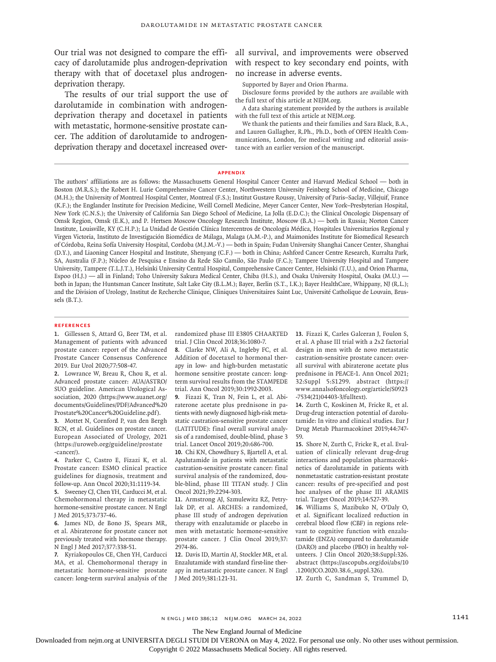Our trial was not designed to compare the efficacy of darolutamide plus androgen-deprivation therapy with that of docetaxel plus androgendeprivation therapy.

The results of our trial support the use of darolutamide in combination with androgendeprivation therapy and docetaxel in patients with metastatic, hormone-sensitive prostate cancer. The addition of darolutamide to androgendeprivation therapy and docetaxel increased over-

all survival, and improvements were observed with respect to key secondary end points, with no increase in adverse events.

Supported by Bayer and Orion Pharma.

Disclosure forms provided by the authors are available with the full text of this article at NEJM.org.

A data sharing statement provided by the authors is available with the full text of this article at NEJM.org.

We thank the patients and their families and Sara Black, B.A., and Lauren Gallagher, R.Ph., Ph.D., both of OPEN Health Communications, London, for medical writing and editorial assistance with an earlier version of the manuscript.

#### **Appendix**

The authors' affiliations are as follows: the Massachusetts General Hospital Cancer Center and Harvard Medical School — both in Boston (M.R.S.); the Robert H. Lurie Comprehensive Cancer Center, Northwestern University Feinberg School of Medicine, Chicago (M.H.); the University of Montreal Hospital Center, Montreal (F.S.); Institut Gustave Roussy, University of Paris–Saclay, Villejuif, France (K.F.); the Englander Institute for Precision Medicine, Weill Cornell Medicine, Meyer Cancer Center, New York–Presbyterian Hospital, New York (C.N.S.); the University of California San Diego School of Medicine, La Jolla (E.D.C.); the Clinical Oncologic Dispensary of Omsk Region, Omsk (E.K.), and P. Hertsen Moscow Oncology Research Institute, Moscow (B.A.) — both in Russia; Norton Cancer Institute, Louisville, KY (C.H.P.); La Unidad de Gestión Clínica Intercentros de Oncología Médica, Hospitales Universitarios Regional y Virgen Victoria, Instituto de Investigación Biomédica de Málaga, Malaga (A.M.-P.), and Maimonides Institute for Biomedical Research of Córdoba, Reina Sofía University Hospital, Cordoba (M.J.M.-V.) — both in Spain; Fudan University Shanghai Cancer Center, Shanghai (D.Y.), and Liaoning Cancer Hospital and Institute, Shenyang (C.F.) — both in China; Ashford Cancer Centre Research, Kurralta Park, SA, Australia (F.P.); Núcleo de Pesquisa e Ensino da Rede São Camilo, São Paulo (F.C.); Tampere University Hospital and Tampere University, Tampere (T.L.J.T.), Helsinki University Central Hospital, Comprehensive Cancer Center, Helsinki (T.U.), and Orion Pharma, Espoo (H.J.) — all in Finland; Toho University Sakura Medical Center, Chiba (H.S.), and Osaka University Hospital, Osaka (M.U.) both in Japan; the Huntsman Cancer Institute, Salt Lake City (B.L.M.); Bayer, Berlin (S.T., I.K.); Bayer HealthCare, Whippany, NJ (R.L.); and the Division of Urology, Institut de Recherche Clinique, Cliniques Universitaires Saint Luc, Université Catholique de Louvain, Brussels (B.T.).

#### **References**

**1.** Gillessen S, Attard G, Beer TM, et al. Management of patients with advanced prostate cancer: report of the Advanced Prostate Cancer Consensus Conference 2019. Eur Urol 2020;77:508-47.

**2.** Lowrance W, Breau R, Chou R, et al. Advanced prostate cancer: AUA/ASTRO/ SUO guideline. American Urological Association, 2020 (https://www.auanet.org/ documents/Guidelines/PDF/Advanced%20 Prostate%20Cancer%20Guideline.pdf).

**3.** Mottet N, Cornford P, van den Bergh RCN, et al. Guidelines on prostate cancer. European Associated of Urology, 2021 (https://uroweb.org/guideline/prostate -cancer/).

**4.** Parker C, Castro E, Fizazi K, et al. Prostate cancer: ESMO clinical practice guidelines for diagnosis, treatment and follow-up. Ann Oncol 2020;31:1119-34.

**5.** Sweeney CJ, Chen YH, Carducci M, et al. Chemohormonal therapy in metastatic hormone-sensitive prostate cancer. N Engl J Med 2015;373:737-46.

**6.** James ND, de Bono JS, Spears MR, et al. Abiraterone for prostate cancer not previously treated with hormone therapy. N Engl J Med 2017;377:338-51.

**7.** Kyriakopoulos CE, Chen YH, Carducci MA, et al. Chemohormonal therapy in metastatic hormone-sensitive prostate cancer: long-term survival analysis of the randomized phase III E3805 CHAARTED trial. J Clin Oncol 2018;36:1080-7.

**8.** Clarke NW, Ali A, Ingleby FC, et al. Addition of docetaxel to hormonal therapy in low- and high-burden metastatic hormone sensitive prostate cancer: longterm survival results from the STAMPEDE trial. Ann Oncol 2019;30:1992-2003.

**9.** Fizazi K, Tran N, Fein L, et al. Abiraterone acetate plus prednisone in patients with newly diagnosed high-risk metastatic castration-sensitive prostate cancer (LATITUDE): final overall survival analysis of a randomised, double-blind, phase 3 trial. Lancet Oncol 2019;20:686-700.

**10.** Chi KN, Chowdhury S, Bjartell A, et al. Apalutamide in patients with metastatic castration-sensitive prostate cancer: final survival analysis of the randomized, double-blind, phase III TITAN study. J Clin Oncol 2021;39:2294-303.

**11.** Armstrong AJ, Szmulewitz RZ, Petrylak DP, et al. ARCHES: a randomized, phase III study of androgen deprivation therapy with enzalutamide or placebo in men with metastatic hormone-sensitive prostate cancer. J Clin Oncol 2019;37: 2974-86.

**12.** Davis ID, Martin AJ, Stockler MR, et al. Enzalutamide with standard first-line therapy in metastatic prostate cancer. N Engl J Med 2019;381:121-31.

**13.** Fizazi K, Carles Galceran J, Foulon S, et al. A phase III trial with a 2x2 factorial design in men with de novo metastatic castration-sensitive prostate cancer: overall survival with abiraterone acetate plus prednisone in PEACE-1. Ann Oncol 2021; 32:Suppl 5:S1299. abstract (https:// www.annalsofoncology.org/article/S0923 -7534(21)04403-3/fulltext).

**14.** Zurth C, Koskinen M, Fricke R, et al. Drug-drug interaction potential of darolutamide: In vitro and clinical studies. Eur J Drug Metab Pharmacokinet 2019;44:747- 59.

**15.** Shore N, Zurth C, Fricke R, et al. Evaluation of clinically relevant drug-drug interactions and population pharmacokinetics of darolutamide in patients with nonmetastatic castration-resistant prostate cancer: results of pre-specified and post hoc analyses of the phase III ARAMIS trial. Target Oncol 2019;14:527-39.

**16.** Williams S, Mazibuko N, O'Daly O, et al. Significant localized reduction in cerebral blood flow (CBF) in regions relevant to cognitive function with enzalutamide (ENZA) compared to darolutamide (DARO) and placebo (PBO) in healthy volunteers. J Clin Oncol 2020;38:Suppl:326. abstract (https://ascopubs.org/doi/abs/10 .1200/JCO.2020.38.6\_suppl.326).

**17.** Zurth C, Sandman S, Trummel D,

The New England Journal of Medicine

Downloaded from nejm.org at UNIVERSITA DEGLI STUDI DI VERONA on May 4, 2022. For personal use only. No other uses without permission.